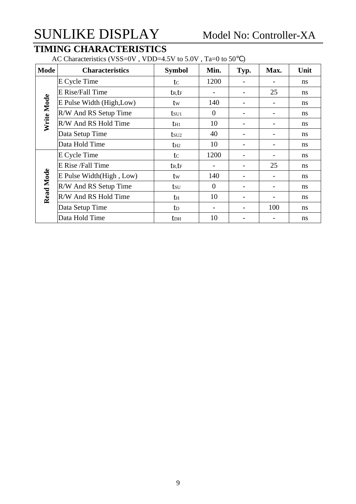### **TIMING CHARACTERISTICS**

AC Characteristics (VSS=0V, VDD=4.5V to 5.0V, Ta=0 to 50)

| <b>Mode</b>      | <b>Characteristics</b>    | <b>Symbol</b>       | Min.           | Typ.                     | Max. | Unit          |
|------------------|---------------------------|---------------------|----------------|--------------------------|------|---------------|
|                  | E Cycle Time              | tc                  | 1200           |                          |      | ns            |
|                  | E Rise/Fall Time          | $t_{R}$ , $t_{F}$   |                |                          | 25   | ns            |
|                  | E Pulse Width (High, Low) | tw                  | 140            |                          |      | ns            |
|                  | R/W And RS Setup Time     | $t_{\rm SU1}$       | $\theta$       |                          |      | ns            |
| Write Mode       | R/W And RS Hold Time      | $t_{H1}$            | 10             | -                        |      | <sub>ns</sub> |
|                  | Data Setup Time           | $t$ su <sub>2</sub> | 40             |                          |      | ns            |
|                  | Data Hold Time            | $t_{H2}$            | 10             | -                        | -    | ns            |
|                  | E Cycle Time              | tc                  | 1200           |                          |      | ns            |
|                  | E Rise /Fall Time         | $t_{R}$ , $t_{F}$   |                |                          | 25   | ns            |
| <b>Read Mode</b> | E Pulse Width(High, Low)  | tw                  | 140            | -                        |      | ns            |
|                  | R/W And RS Setup Time     | tsu                 | $\overline{0}$ |                          |      | ns            |
|                  | R/W And RS Hold Time      | th                  | 10             | $\overline{\phantom{0}}$ | -    | ns            |
|                  | Data Setup Time           | t <sub>D</sub>      |                |                          | 100  | ns            |
|                  | Data Hold Time            | tdh                 | 10             |                          |      | ns            |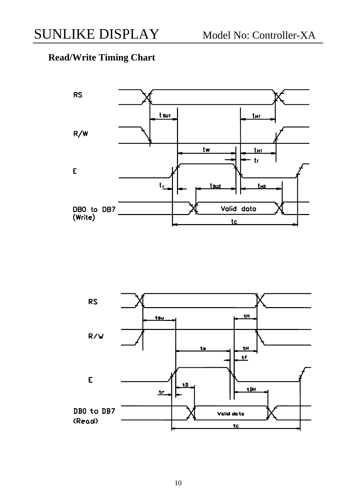## **Read/Write Timing Chart**



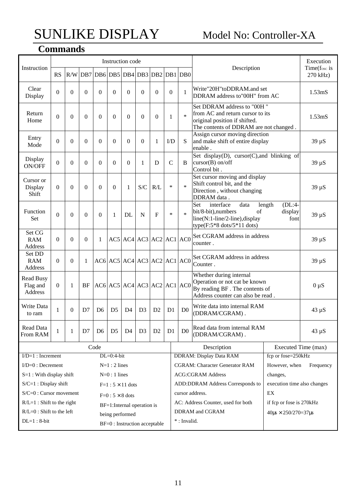## **Commands**

| Instruction                                    |                |          |          |                                     | Instruction code              |                |                |                |                |                                           | Description                                                                                                                                                                      | Execution<br>Time(fosc is |
|------------------------------------------------|----------------|----------|----------|-------------------------------------|-------------------------------|----------------|----------------|----------------|----------------|-------------------------------------------|----------------------------------------------------------------------------------------------------------------------------------------------------------------------------------|---------------------------|
|                                                | <b>RS</b>      |          |          | R/W DB7 DB6 DB5 DB4 DB3 DB2 DB1 DB0 |                               |                |                |                |                |                                           |                                                                                                                                                                                  | 270 kHz)                  |
| Clear<br>Display                               | $\theta$       | $\theta$ | $\Omega$ | $\theta$                            | $\theta$                      | $\theta$       | $\Omega$       | $\theta$       | $\Omega$       | $\mathbf{1}$                              | Write"20H"toDDRAM.and set<br>DDRAM address to"00H" from AC                                                                                                                       | 1.53 <sub>m</sub> S       |
| Return<br>Home                                 | $\theta$       | $\Omega$ | $\Omega$ | $\Omega$                            | $\Omega$                      | $\theta$       | $\Omega$       | $\Omega$       | 1              | $\ast$                                    | Set DDRAM address to "00H"<br>from AC and return cursor to its<br>original position if shifted.<br>The contents of DDRAM are not changed.                                        | 1.53 <sub>m</sub> S       |
| Entry<br>Mode                                  | $\theta$       | $\theta$ | $\Omega$ | $\Omega$                            | $\theta$                      | $\theta$       | $\Omega$       | 1              | $\rm{ID}$      | S                                         | Assign cursor moving direction<br>and make shift of entire display<br>enable.                                                                                                    | $39 \mu S$                |
| Display<br>ON/OFF                              | $\theta$       | $\theta$ | $\Omega$ | $\Omega$                            | $\theta$                      | $\Omega$       | 1              | D              | $\mathcal{C}$  | B                                         | Set display(D), cursor(C), and blinking of<br>$cursor(B)$ on/off<br>Control bit.                                                                                                 | $39 \mu S$                |
| Cursor or<br>Display<br>Shift                  | $\theta$       | $\Omega$ | $\Omega$ | $\Omega$                            | $\theta$                      | 1              | S/C            | R/L            | $\ast$         | $\ast$                                    | Set cursor moving and display<br>Shift control bit, and the<br>Direction, without changing<br>DDRAM data.                                                                        | $39 \mu S$                |
| Function<br><b>Set</b>                         | $\Omega$       | $\theta$ | $\Omega$ | $\Omega$                            | 1                             | DL             | N              | $\mathbf{F}$   | $\ast$         | $\ast$                                    | $(DL:4-$<br>Set<br>interface<br>data<br>length<br>bit/8-bit),numbers<br>of<br>display<br>line(N:1-line/2-line), display<br>font<br>type $(F:5*8 \text{ dots}/5*11 \text{ dots})$ | $39 \mu S$                |
| Set CG<br><b>RAM</b><br>Address                | $\Omega$       | $\Omega$ | $\Omega$ | 1                                   |                               |                |                |                |                | $AC5$ $AC4$ $AC3$ $AC2$ $AC1$ $AC0$       | Set CGRAM address in address<br>counter.                                                                                                                                         | $39 \mu S$                |
| Set DD<br><b>RAM</b><br>Address                | $\Omega$       | $\Omega$ | 1        |                                     |                               |                |                |                |                | $AC6$ $AC5$ $AC4$ $AC3$ $AC2$ $AC1$ $AC0$ | Set CGRAM address in address<br>Counter.                                                                                                                                         | $39 \mu S$                |
| <b>Read Busy</b><br>Flag and<br><b>Address</b> | $\overline{0}$ | 1        | BF       |                                     |                               |                |                |                |                | $AC6$ $AC5$ $AC4$ $AC3$ $AC2$ $AC1$ $AC0$ | Whether during internal<br>Operation or not cat be known<br>By reading BF. The contents of<br>Address counter can also be read.                                                  | $0 \mu S$                 |
| Write Data<br>to ram                           | 1              | $\Omega$ | D7       | D <sub>6</sub>                      | D <sub>5</sub>                | D <sub>4</sub> | D <sub>3</sub> | D2             | D1             | D <sub>0</sub>                            | Write data into internal RAM<br>(DDRAM/CGRAM).                                                                                                                                   | $43 \mu S$                |
| Read Data<br>From RAM                          | 1              | 1        | D7       | D <sub>6</sub>                      | D <sub>5</sub>                | D4             | D <sub>3</sub> | D <sub>2</sub> | D <sub>1</sub> | D <sub>0</sub>                            | Read data from internal RAM<br>(DDRAM/CGRAM).                                                                                                                                    | $43 \mu S$                |
|                                                |                |          |          | Code                                |                               |                |                |                |                |                                           | Description<br>Executed Time (max)                                                                                                                                               |                           |
| $I/D=1$ : Increment                            |                |          |          |                                     | $DL=0:4-bit$                  |                |                |                |                |                                           | <b>DDRAM: Display Data RAM</b><br>fcp or fose=250kHz                                                                                                                             |                           |
| $I/D=0$ : Decrement                            |                |          |          |                                     | $N=1:2$ lines                 |                |                |                |                |                                           | <b>CGRAM: Character Generator RAM</b><br>However, when                                                                                                                           | Frequency                 |
| $S=1$ : With display shift                     |                |          |          |                                     | $N=0$ : 1 lines               |                |                |                |                |                                           | <b>ACG:CGRAM Address</b><br>changes,                                                                                                                                             |                           |
| $S/C=1$ : Display shift                        |                |          |          |                                     | $F=1:5\times 11$ dots         |                |                |                |                |                                           | ADD:DDRAM Address Corresponds to<br>execution time also changes                                                                                                                  |                           |
| $S/C=0$ : Cursor movement                      |                |          |          |                                     | $F=0:5\times 8$ dots          |                |                |                |                |                                           | cursor address.<br>EX                                                                                                                                                            |                           |
| $R/L=1$ : Shift to the right                   |                |          |          |                                     | BF=1:Internal operation is    |                |                |                |                |                                           | AC: Address Counter, used for both<br>if fcp or fose is 270kHz                                                                                                                   |                           |
| $R/L=0$ : Shift to the left                    |                |          |          |                                     | being performed               |                |                |                |                |                                           | DDRAM and CGRAM<br>$40\mu s \times 250/270=37\mu s$                                                                                                                              |                           |
| $DL=1:8-bit$                                   |                |          |          |                                     | BF=0 : Instruction acceptable |                |                |                |                |                                           | *: Invalid.                                                                                                                                                                      |                           |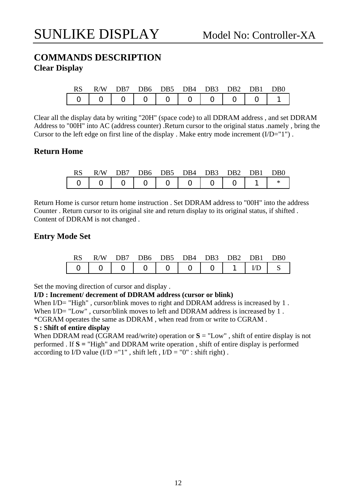#### **COMMANDS DESCRIPTION Clear Display**

|                                           | RS R/W DB7 DB6 DB5 DB4 DB3 DB2 DB1 DB0 |  |  |  |  |
|-------------------------------------------|----------------------------------------|--|--|--|--|
| $  0   0   0   0   0   0   0   0   0   1$ |                                        |  |  |  |  |

Clear all the display data by writing "20H" (space code) to all DDRAM address , and set DDRAM Address to "00H" into AC (address counter) .Return cursor to the original status .namely , bring the Cursor to the left edge on first line of the display. Make entry mode increment  $(I/D="1")$ .

#### **Return Home**

|  |  |  | R/W DB7 DB6 DB5 DB4 DB3 DB2 DB1 DB0       |  |  |
|--|--|--|-------------------------------------------|--|--|
|  |  |  | $  0   0   0   0   0   0   0   0   1   *$ |  |  |

Return Home is cursor return home instruction . Set DDRAM address to "00H" into the address Counter . Return cursor to its original site and return display to its original status, if shifted . Content of DDRAM is not changed .

#### **Entry Mode Set**

| RS. | R/W DB7 DB6 DB5 DB4 DB3 DB2 DB1 DB0 |  |  |  |  |
|-----|-------------------------------------|--|--|--|--|
|     |                                     |  |  |  |  |

Set the moving direction of cursor and display .

#### **I/D : Increment/ decrement of DDRAM address (cursor or blink)**

When I/D= "High", cursor/blink moves to right and DDRAM address is increased by 1. When  $I/D$  = "Low", cursor/blink moves to left and DDRAM address is increased by 1. \*CGRAM operates the same as DDRAM , when read from or write to CGRAM .

#### **S : Shift of entire display**

When DDRAM read (CGRAM read/write) operation or  $S = "Low"$ , shift of entire display is not performed . If **S =** "High" and DDRAM write operation , shift of entire display is performed according to I/D value  $(I/D = "1"$ , shift left,  $I/D = "0"$ : shift right).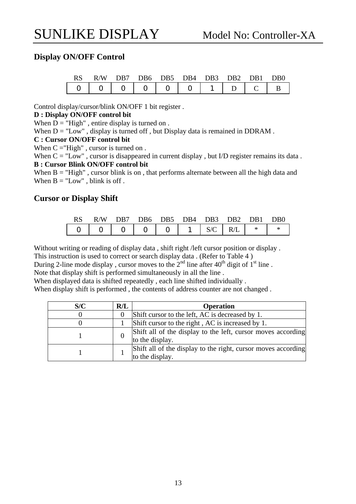#### **Display ON/OFF Control**

|  | RS R/W DB7 DB6 DB5 DB4 DB3 DB2 DB1 DB0 |  |  |  |  |
|--|----------------------------------------|--|--|--|--|
|  |                                        |  |  |  |  |

Control display/cursor/blink ON/OFF 1 bit register .

#### **D : Display ON/OFF control bit**

When  $D = "High"$ , entire display is turned on.

When  $D = "Low"$ , display is turned off, but Display data is remained in DDRAM.

#### **C : Cursor ON/OFF control bit**

When  $C = "High"$ , cursor is turned on.

When  $C = "Low"$ , cursor is disappeared in current display, but I/D register remains its data. **B : Cursor Blink ON/OFF control bit** 

When  $B = "High"$ , cursor blink is on, that performs alternate between all the high data and When  $B = "Low"$ , blink is off.

#### **Cursor or Display Shift**

| <b>RS</b> |  |  | R/W DB7 DB6 DB5 DB4 DB3 DB2 DB1 DB0 |  |  |
|-----------|--|--|-------------------------------------|--|--|
|           |  |  |                                     |  |  |

Without writing or reading of display data , shift right /left cursor position or display .

This instruction is used to correct or search display data . (Refer to Table 4 )

During 2-line mode display, cursor moves to the  $2<sup>nd</sup>$  line after 40<sup>th</sup> digit of 1<sup>st</sup> line.

Note that display shift is performed simultaneously in all the line .

When displayed data is shifted repeatedly , each line shifted individually .

When display shift is performed , the contents of address counter are not changed .

| S/C | R/L | <b>Operation</b>                                                                 |
|-----|-----|----------------------------------------------------------------------------------|
|     |     | Shift cursor to the left, AC is decreased by 1.                                  |
|     |     | Shift cursor to the right, AC is increased by 1.                                 |
|     |     | Shift all of the display to the left, cursor moves according<br>to the display.  |
|     |     | Shift all of the display to the right, cursor moves according<br>to the display. |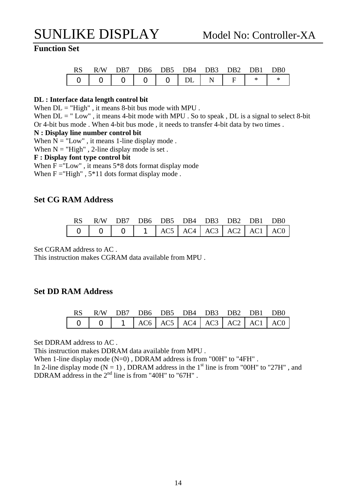#### **Function Set**

| RS. | R/W DB7 DB6 DB5 DB4 DB3 DB2 DB1 DB0 |  |  |  |  |
|-----|-------------------------------------|--|--|--|--|
|     | $0$ 0 0 0 0 0 DL N F $*$            |  |  |  |  |

#### **DL : Interface data length control bit**

When  $DL = "High"$ , it means 8-bit bus mode with MPU.

When  $DL = " Low"$ , it means 4-bit mode with MPU. So to speak,  $DL$  is a signal to select 8-bit Or 4-bit bus mode . When 4-bit bus mode , it needs to transfer 4-bit data by two times .

#### **N : Display line number control bit**

When  $N =$  "Low", it means 1-line display mode.

When  $N = "High"$ , 2-line display mode is set.

#### **F : Display font type control bit**

When  $F = "Low"$ , it means  $5*8$  dots format display mode When  $F = "High"$ ,  $5*11$  dots format display mode.

#### **Set CG RAM Address**

| RS R/W DB7 DB6 DB5 DB4 DB3 DB2 DB1 DB0 |  |  |  |  |
|----------------------------------------|--|--|--|--|
|                                        |  |  |  |  |

Set CGRAM address to AC .

This instruction makes CGRAM data available from MPU .

#### **Set DD RAM Address**

| RS R/W DB7 DB6 DB5 DB4 DB3 DB2 DB1 DB0 |  |  |  |  |
|----------------------------------------|--|--|--|--|
|                                        |  |  |  |  |

Set DDRAM address to AC .

This instruction makes DDRAM data available from MPU .

When 1-line display mode (N=0), DDRAM address is from "00H" to "4FH".

In 2-line display mode ( $N = 1$ ), DDRAM address in the 1<sup>st</sup> line is from "00H" to "27H", and DDRAM address in the  $2<sup>nd</sup>$  line is from "40H" to "67H".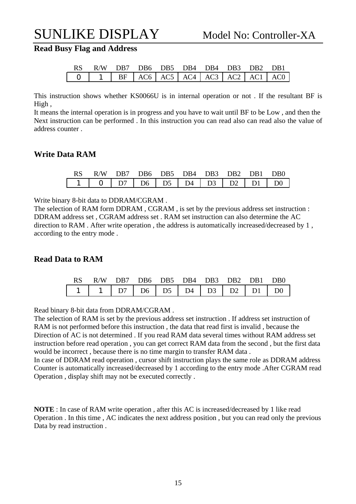**Read Busy Flag and Address** 

| RS R/W DB7 DB6 DB5 DB4 DB4 DB3 DB2 DB1 |  |  |  |  |
|----------------------------------------|--|--|--|--|
|                                        |  |  |  |  |

This instruction shows whether KS0066U is in internal operation or not . If the resultant BF is High ,

It means the internal operation is in progress and you have to wait until BF to be Low , and then the Next instruction can be performed . In this instruction you can read also can read also the value of address counter .

#### **Write Data RAM**

| RS R/W DB7 DB6 DB5 DB4 DB3 DB2 DB1 DB0 |  |  |  |  |
|----------------------------------------|--|--|--|--|
| $1$ 0 D7 D6 D5 D4 D3 D2 D1 D0          |  |  |  |  |

Write binary 8-bit data to DDRAM/CGRAM .

The selection of RAM form DDRAM , CGRAM , is set by the previous address set instruction : DDRAM address set , CGRAM address set . RAM set instruction can also determine the AC direction to RAM . After write operation , the address is automatically increased/decreased by 1 , according to the entry mode .

#### **Read Data to RAM**

|  | RS R/W DB7 DB6 DB5 DB4 DB3 DB2 DB1 DB0 |  |  |  |  |
|--|----------------------------------------|--|--|--|--|
|  |                                        |  |  |  |  |

Read binary 8-bit data from DDRAM/CGRAM .

The selection of RAM is set by the previous address set instruction . If address set instruction of RAM is not performed before this instruction , the data that read first is invalid , because the Direction of AC is not determined . If you read RAM data several times without RAM address set instruction before read operation , you can get correct RAM data from the second , but the first data would be incorrect , because there is no time margin to transfer RAM data .

In case of DDRAM read operation , cursor shift instruction plays the same role as DDRAM address Counter is automatically increased/decreased by 1 according to the entry mode .After CGRAM read Operation , display shift may not be executed correctly .

**NOTE** : In case of RAM write operation , after this AC is increased/decreased by 1 like read Operation . In this time , AC indicates the next address position , but you can read only the previous Data by read instruction .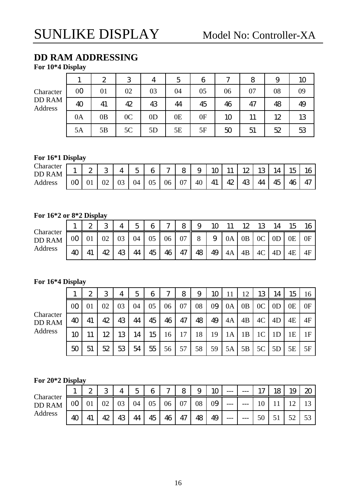## **DD RAM ADDRESSING**

**For 10\*4 Display** 

|                          |                | $\mathbf{2}$ | 3              | 4              | 5  | 6  | $\sim$ | 8  | 9  | 10 |
|--------------------------|----------------|--------------|----------------|----------------|----|----|--------|----|----|----|
| Character                | 0 <sub>0</sub> | 01           | 02             | 03             | 04 | 05 | 06     | 07 | 08 | 09 |
| <b>DD RAM</b><br>Address | 40             | 41           | 42             | 43             | 44 | 45 | 46     | 47 | 48 | 49 |
|                          | 0A             | 0B           | 0 <sup>C</sup> | 0 <sub>D</sub> | 0E | 0F | 10     | 11 | 12 | 13 |
|                          | 5A             | 5Β           | 5C             | 5D             | 5E | 5F | 50     | 51 | 52 | 53 |

#### **For 16\*1 Display**

| Character<br>AM<br>DD<br>ĸ | л. | ⌒<br>∼ | Ω<br>ີ |    | $\overline{\phantom{0}}$<br>∽<br>◡ | 6  | $\sim$ | 8  | ч<br>ັ | ĸ  | <b>**</b> | 12      | w  | Δ  | $\sim$<br>15 | 16 |
|----------------------------|----|--------|--------|----|------------------------------------|----|--------|----|--------|----|-----------|---------|----|----|--------------|----|
| Address                    | 0C | UΙ     | 02     | ∩≏ | 04                                 | 05 | 06     | 07 | 40     | 41 | 42        | 12<br>ᅩ | 44 | 45 | 46<br>R      | 47 |

#### **For 16\*2 or 8\*2 Display**

|                            |                        | ົ<br>∼ | Ω<br>J |    | $\overline{\phantom{a}}$ | 6  | $\sim$ | 8  | 9       |    |    |    |                |                | 15 | 16 |
|----------------------------|------------------------|--------|--------|----|--------------------------|----|--------|----|---------|----|----|----|----------------|----------------|----|----|
| Character<br><b>DD RAM</b> | 0 <sub>0</sub>         |        | 02     | 03 | 04                       | 05 | 06     | 07 | $\circ$ | 9  | 0A | 0B | 0 <sup>C</sup> | 0 <sub>D</sub> | 0E | 0F |
| Address                    | $\boldsymbol{\Lambda}$ | 41     | 42     | 43 | 44                       | 45 | 46     | 47 | 48      | 49 | 4A | 4B | 4C             | 4D             | 4E | 4F |

#### **For 16\*4 Display**

|                                       |                | $\boldsymbol{2}$ | 3  | 4  | 5  | 6  | $\mathcal{L}$ | 8  | 9  | 10 |    | 12             | 13             | 14             | 15 | 16 |
|---------------------------------------|----------------|------------------|----|----|----|----|---------------|----|----|----|----|----------------|----------------|----------------|----|----|
|                                       | 0 <sub>O</sub> |                  | 02 | 03 | 04 | 05 | 06            | 07 | 08 | 09 | 0A | 0 <sub>B</sub> | 0 <sup>C</sup> | 0 <sub>D</sub> | 0Ε | 0F |
| Character<br><b>DD RAM</b><br>Address | 40             | 41               | 42 | 43 | 44 | 45 | 46            | 47 | 48 | 49 | 4A | 4B             | 4C             | 4D             | 4E | 4F |
|                                       | 10             |                  | 12 | 13 | 14 | 15 | 16            | 17 | 18 | 19 | 1A | 1B             | 1 <sup>C</sup> |                | 1E | 1F |
|                                       | 50             | 51               | 52 | 53 | 54 | 55 | 56            | 57 | 58 | 59 | 5A | 5B             | 5C             | 5D             | 5E | 5F |

#### **For 20\*2 Display**

|                            |    | ∼ | ာ<br>J |    | ς  | 6  | $\sim$ | 8  | $\Omega$<br>◡ | 10 | $---$ | ---   | 1 <sub>7</sub>  | 18 | 1 <sub>C</sub><br>ΙJ | 20 |
|----------------------------|----|---|--------|----|----|----|--------|----|---------------|----|-------|-------|-----------------|----|----------------------|----|
| Character<br><b>DD RAM</b> | 00 |   | 02     | 03 | 04 | 05 | 06     | 07 | 08            | 09 | ---   | $---$ | 1 $\cap$<br>1 V |    |                      |    |
| Address                    | 4C |   | 42     | 43 | 44 | 45 | 46     | 47 | 48            | 49 | $---$ | $---$ | 50              |    | 50                   | 53 |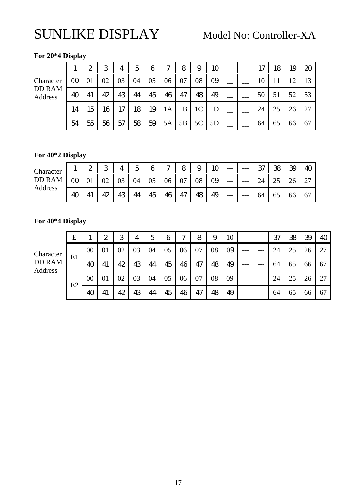#### **For 20\*4 Display**

Characte DD RAM Address

|    |                 | $\mathbf{2}$    | 3               | 4                | 5 <sup>1</sup>  | 6 <sup>1</sup> | 7 <sup>1</sup> | 8 <sup>1</sup>  | 9                        | 10 |  | 17 <sup>1</sup> | 18 <sup>1</sup> |      | $19 \mid 20$ |
|----|-----------------|-----------------|-----------------|------------------|-----------------|----------------|----------------|-----------------|--------------------------|----|--|-----------------|-----------------|------|--------------|
| P. | $00$   01       |                 | 02              | $\vert 03 \vert$ | 04              | 05             | 06             | 07              | 08                       | 09 |  | 10              | 11              | 12   | 13           |
| Л  | 40 <sup>1</sup> | 41              | 42              | 43               | 44              | 45             | 46             | 47 <sup>1</sup> | 48                       | 49 |  | 50              | 51              | 52 l | 53           |
|    | 14              | 15 <sup>1</sup> | 16 <sup>1</sup> | 17 <sup>1</sup>  | 18 <sup>1</sup> |                |                |                 | $19$   1A   1B   1C   1D |    |  | 24              | 25              | 26   | 27           |
|    | 54              | 55              | 56 <sup>1</sup> | $57 \mid$        | 58 <sup>1</sup> |                |                |                 | $59$   5A   5B   5C   5D |    |  | 64              | 65              | 66   | 67           |

### **For 40\*2 Display**

| Character |    | っ<br>∼ | ∩  |   | $\overline{\phantom{a}}$<br>ັ | 6  | $\sim$ | 8  | ັ  | $1\cap$ | ---   | --- | ൚<br>J. | ഏ<br>w | 39 | 4 <sup>C</sup> |
|-----------|----|--------|----|---|-------------------------------|----|--------|----|----|---------|-------|-----|---------|--------|----|----------------|
| DD RAM    |    |        | ◡∠ |   | 04                            | 05 | 06     | 07 | 08 | 09      | ---   | --- | ∠−      | ل کے   | 26 | 27             |
| Address   | 40 |        | ₭  | r | 44                            | 45 | 46     | 47 | 48 | 49      | $---$ | --- | 64      | UJ     | 66 | 67             |

#### **For 40\*4 Display**

|                                 | E  |        | $\boldsymbol{2}$ | 3  | 4  | 5  | 6  | ∼  | 8  | 9  | 10 | $---$ | $---$ | 37 | 38 | 39 | 40 |
|---------------------------------|----|--------|------------------|----|----|----|----|----|----|----|----|-------|-------|----|----|----|----|
| Character                       |    | $00\,$ | 01               | 02 | 03 | 04 | 05 | 06 | 07 | 08 | 09 |       |       | 24 | 25 | 26 | 27 |
| <b>DD RAM</b><br><b>Address</b> | E1 | 40     | 41               | 42 | 43 | 44 | 45 | 46 | 47 | 48 | 49 | $---$ | ---   | 64 | 65 | 66 | 67 |
|                                 |    | $00\,$ | 01               | 02 | 03 | 04 | 05 | 06 | 07 | 08 | 09 | ---   |       | 24 | 25 | 26 | 27 |
|                                 | E2 | 40     | 41               | 42 | 43 | 44 | 45 | 46 | 47 | 48 | 49 | $---$ |       | 64 | 65 | 66 | 67 |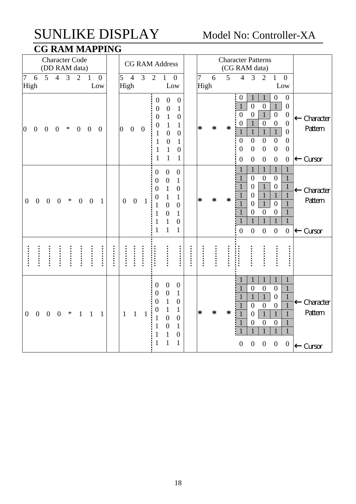## SUNLIKE DISPLAY Model No: Controller-XA **CG RAM MAPPING**

|                  |                  |                  |                  |                | <b>Character Code</b> |                  |                       |      |                                                        |                  | <b>CG RAM Address</b> |                                                                                                     |                                                                                                                                        |                                                                                                                                          |        |                        |                  |        | <b>Character Patterns</b>                                                                                                                                                                                                                                                                                                                                                                                                                                                                                                                                                                                                                                                                                                        |                                |
|------------------|------------------|------------------|------------------|----------------|-----------------------|------------------|-----------------------|------|--------------------------------------------------------|------------------|-----------------------|-----------------------------------------------------------------------------------------------------|----------------------------------------------------------------------------------------------------------------------------------------|------------------------------------------------------------------------------------------------------------------------------------------|--------|------------------------|------------------|--------|----------------------------------------------------------------------------------------------------------------------------------------------------------------------------------------------------------------------------------------------------------------------------------------------------------------------------------------------------------------------------------------------------------------------------------------------------------------------------------------------------------------------------------------------------------------------------------------------------------------------------------------------------------------------------------------------------------------------------------|--------------------------------|
|                  |                  |                  |                  |                | (DD RAM data)         |                  |                       |      |                                                        |                  |                       |                                                                                                     |                                                                                                                                        |                                                                                                                                          |        |                        |                  |        | (CG RAM data)                                                                                                                                                                                                                                                                                                                                                                                                                                                                                                                                                                                                                                                                                                                    |                                |
| 7                | 6<br>High        | 5                | $\overline{4}$   | $\overline{3}$ | $\overline{2}$        | $\mathbf{1}$     | $\overline{0}$<br>Low |      | 5<br>High                                              | $\overline{4}$   | 3                     | $\overline{2}$                                                                                      | $\mathbf{1}$<br>Low                                                                                                                    | $\boldsymbol{0}$                                                                                                                         |        | $\overline{7}$<br>High | 6                | 5      | 3<br>$\overline{4}$<br>$\overline{2}$<br>$\mathbf{1}$<br>$\overline{0}$<br>Low                                                                                                                                                                                                                                                                                                                                                                                                                                                                                                                                                                                                                                                   |                                |
| $\overline{0}$   | $\overline{0}$   | $\overline{0}$   | $\overline{0}$   | $\ast$         | $\overline{0}$        | $\mathbf{0}$     | $\overline{0}$        |      | $\overline{0}$                                         | $\theta$         | $\overline{0}$        | $\boldsymbol{0}$<br>$\boldsymbol{0}$<br>$\mathbf{0}$<br>0<br>$\mathbf{1}$<br>1<br>1<br>$\mathbf{1}$ | $\overline{0}$<br>$\boldsymbol{0}$<br>$\mathbf{1}$<br>1<br>$\overline{0}$<br>$\overline{0}$<br>1<br>$\mathbf{1}$                       | $\overline{0}$<br>$\mathbf{1}$<br>$\boldsymbol{0}$<br>$\mathbf{1}$<br>$\overline{0}$<br>$\mathbf{1}$<br>$\boldsymbol{0}$<br>$\mathbf{1}$ |        | *                      | $\ast$           | $\ast$ | $\overline{0}$<br>$\boldsymbol{0}$<br>$\boldsymbol{0}$<br>$\mathbf{1}$<br>$\mathbf{1}$<br>$\mathbf{1}$<br>$\overline{0}$<br>$\mathbf{1}$<br>$\boldsymbol{0}$<br>$\boldsymbol{0}$<br>$\overline{0}$<br>$\overline{0}$<br>$\overline{0}$<br>$\mathbf{1}$<br>$\overline{0}$<br>$\mathbf{0}$<br>$\mathbf{1}$<br>$\boldsymbol{0}$<br>$\overline{0}$<br>$\overline{0}$<br>$\mathbf{1}$<br>$\mathbf{1}$<br>$\boldsymbol{0}$<br>$\mathbf{1}$<br>$\boldsymbol{0}$<br>$\overline{0}$<br>$\overline{0}$<br>$\boldsymbol{0}$<br>$\boldsymbol{0}$<br>$\boldsymbol{0}$<br>$\boldsymbol{0}$<br>$\boldsymbol{0}$<br>$\boldsymbol{0}$<br>$\theta$<br>$\overline{0}$<br>$\boldsymbol{0}$<br>$\boldsymbol{0}$<br>$\overline{0}$<br>$\boldsymbol{0}$ | Character<br>Pattern<br>Cursor |
| $\boldsymbol{0}$ | $\boldsymbol{0}$ | $\boldsymbol{0}$ | $\boldsymbol{0}$ | $\ast$         | $\boldsymbol{0}$      | $\boldsymbol{0}$ | $\mathbf{1}$          |      | $\boldsymbol{0}$                                       | $\boldsymbol{0}$ | 1                     | $\boldsymbol{0}$<br>$\overline{0}$<br>$\theta$<br>0<br>$\mathbf{1}$                                 | $\overline{0}$<br>$\boldsymbol{0}$<br>$\mathbf{1}$<br>$\mathbf{1}$<br>$\overline{0}$<br>$\overline{0}$<br>$\mathbf{1}$<br>$\mathbf{1}$ | $\boldsymbol{0}$<br>$\mathbf{1}$<br>$\boldsymbol{0}$<br>1<br>$\overline{0}$<br>$\mathbf{1}$<br>$\overline{0}$<br>$\mathbf{1}$            |        | ∗                      | $\ast$           | ∗      | $\mathbf{1}$<br>$\mathbf{1}$<br>$\mathbf{1}$<br>$\mathbf{1}$<br>$\mathbf{1}$<br>$\overline{0}$<br>$\mathbf{1}$<br>$\boldsymbol{0}$<br>$\overline{0}$<br>$\mathbf{1}$<br>$\mathbf{1}$<br>$\mathbf{1}$<br>$\overline{0}$<br>$\overline{0}$<br>$\mathbf{1}$<br>$\mathbf{1}$<br>$\mathbf{1}$<br>$\boldsymbol{0}$<br>$\mathbf{1}$<br>$\overline{0}$<br>$\overline{0}$<br>$\mathbf{1}$<br>$\mathbf{1}$<br>$\overline{0}$<br>$\mathbf{1}$<br>$\overline{0}$<br>$\overline{0}$<br>$\mathbf{1}$<br>$\mathbf{1}$<br>$\mathbf{1}$<br>$\mathbf{1}$<br>$\mathbf{1}$<br>$\mathbf{1}$<br>$\overline{0}$<br>$\overline{0}$<br>$\overline{0}$<br>$\mathbf{0}$<br>$\overline{0}$                                                                   | Character<br>Pattern<br>Cursor |
|                  |                  |                  |                  |                |                       |                  | :<br>:<br>:           | <br> | $\ddot{•}$ $\ddot{•}$ $\ddot{•}$ $\ddot{•}$ $\ddot{•}$ |                  | :::::                 |                                                                                                     |                                                                                                                                        |                                                                                                                                          | :::::: |                        | :<br>:<br>:<br>: |        | <br>:::::<br>:::::                                                                                                                                                                                                                                                                                                                                                                                                                                                                                                                                                                                                                                                                                                               |                                |
| $\overline{0}$   | $\mathbf{0}$     | $\overline{0}$   | $\overline{0}$   | ∗              | $\mathbf{1}$          | 1                | 1                     |      | $\mathbf{1}$                                           | $\mathbf{1}$     | 1                     | $\overline{0}$<br>$\overline{0}$<br>$\overline{0}$<br>0<br>1                                        | $\overline{0}$<br>$\boldsymbol{0}$<br>$\mathbf{1}$<br>$\mathbf{1}$<br>$\overline{0}$<br>$\overline{0}$<br>1<br>1                       | $\boldsymbol{0}$<br>1<br>$\boldsymbol{0}$<br>$\mathbf{1}$<br>$\overline{0}$<br>$\mathbf{1}$<br>$\boldsymbol{0}$<br>$\mathbf{1}$          |        | $\ast$                 | $\ast$           | ∗      | $\mathbf{1}$<br>$\mathbf{1}$<br>$\mathbf{1}$<br>1<br>$\mathbf{1}$<br>$\overline{0}$<br>$\boldsymbol{0}$<br>$\overline{0}$<br>$\mathbf{1}$<br>$\mathbf{1}$<br>$\mathbf{1}$<br>$\overline{0}$<br>$\mathbf{1}$<br>$\mathbf{1}$<br>$\mathbf{1}$<br>$\mathbf{1}$<br>$\overline{0}$<br>$\overline{0}$<br>$\theta$<br>$\mathbf{1}$<br>$\mathbf{1}$<br>$\mathbf{1}$<br>$\mathbf{1}$<br>$\overline{0}$<br>$\overline{0}$<br>$\overline{0}$<br>$\overline{0}$<br>$\mathbf{1}$<br>1<br>$\mathbf{1}$<br>$\mathbf{1}$<br>1<br>$\overline{0}$<br>$\overline{0}$<br>$\overline{0}$<br>$\overline{0}$<br>$\overline{0}$                                                                                                                          | Character<br>Pattern<br>Cursor |